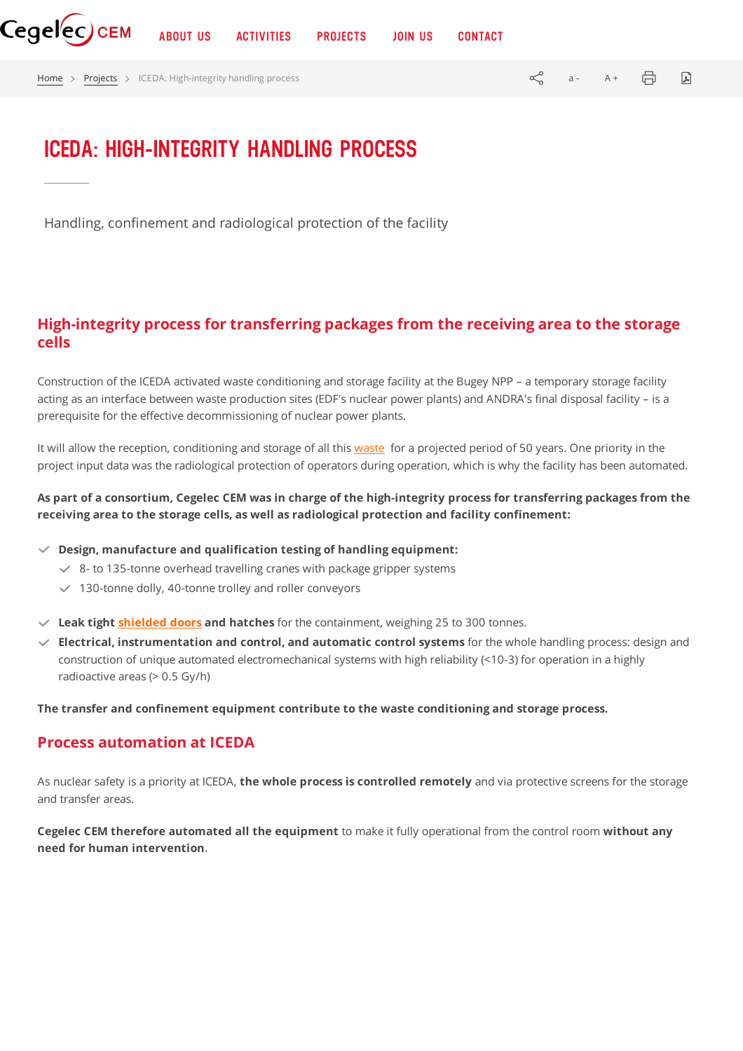

[Home](https://www.cegelec-cem.fr/en/homepage/) > [Projects](https://www.cegelec-cem.fr/projects/) > ICEDA: High-integrity handling process  $\mathbb{R}^3$  a - A +  $\mathbb{R}^3$   $\mathbb{R}^3$ 

## **ICEDA: HIGH-INTEGRITY HANDLING PROCESS**

Handling, confinement and radiological protection of the facility

## **High-integrity process for transferring packages from the receiving area to the storage cells**

Construction of the ICEDA activated waste conditioning and storage facility at the Bugey NPP – a temporary storage facility acting as an interface between waste production sites (EDF's nuclear power plants) and ANDRA's final disposal facility – is a prerequisite for the effective decommissioning of nuclear power plants.

It will allow the reception, conditioning and storage of all this [waste](https://www.cegelec-cem.fr/en/equipment-for-waste-recovery/) for a projected period of 50 years. One priority in the project input data was the radiological protection of operators during operation, which is why the facility has been automated.

As part of a consortium, Cegelec CEM was in charge of the high-integrity process for transferring packages from the **receiving area to the storage cells, as well as radiological protection and facility confinement:**

**Design, manufacture and qualification testing of handling equipment:**

- $8 8$  to 135-tonne overhead travelling cranes with package gripper systems
- $\vee$  130-tonne dolly, 40-tonne trolley and roller conveyors
- **Leak tight [shielded](https://www.cegelec-cem.fr/en/hot-cells-and-shielded-systems/) doors and hatches** for the containment, weighing 25 to 300 tonnes.
- **Electrical, instrumentation and control, and automatic control systems** for the whole handling process: design and construction of unique automated electromechanical systems with high reliability (<10-3) for operation in a highly radioactive areas (> 0.5 Gy/h)

**The transfer and confinement equipment contribute to the waste conditioning and storage process.**

## **Process automation at ICEDA**

As nuclear safety is a priority at ICEDA, **the whole process is controlled remotely** and via protective screens for the storage and transfer areas.

**Cegelec CEM therefore automated all the equipment** to make it fully operational from the control room **without any need for human intervention**.